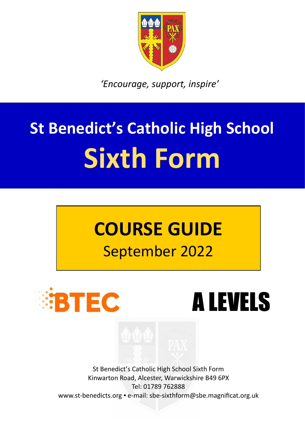

*'Encourage, support, inspire'*

# **St Benedict's Catholic High School Sixth Form**

# **COURSE GUIDE** September 2022





St Benedict's Catholic High School Sixth Form Kinwarton Road, Alcester, Warwickshire B49 6PX Tel: 01789 762888 www.st-benedicts.org ▪ e-mail: sbe-sixthform@sbe.magnificat.org.uk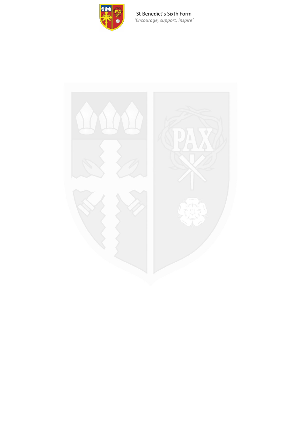

St Benedict's Sixth Form *'Encourage, support, inspire'*

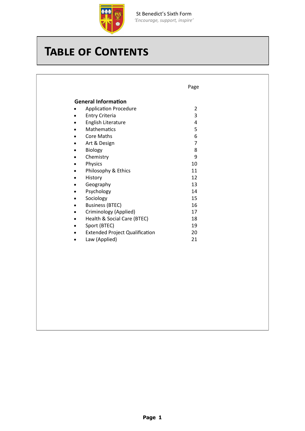

St Benedict's Sixth Form *'Encourage, support, inspire'*

# **Table of Contents**

|                                       | Page |
|---------------------------------------|------|
| <b>General Information</b>            |      |
| <b>Application Procedure</b>          | 2    |
| <b>Entry Criteria</b>                 | 3    |
| English Literature                    | 4    |
| <b>Mathematics</b>                    | 5    |
| <b>Core Maths</b>                     | 6    |
| Art & Design                          | 7    |
| Biology                               | 8    |
| Chemistry                             | 9    |
| <b>Physics</b>                        | 10   |
| Philosophy & Ethics                   | 11   |
| History                               | 12   |
| Geography                             | 13   |
| Psychology                            | 14   |
| Sociology                             | 15   |
| <b>Business (BTEC)</b>                | 16   |
| Criminology (Applied)                 | 17   |
| Health & Social Care (BTEC)           | 18   |
| Sport (BTEC)                          | 19   |
| <b>Extended Project Qualification</b> | 20   |
| Law (Applied)                         | 21   |
|                                       |      |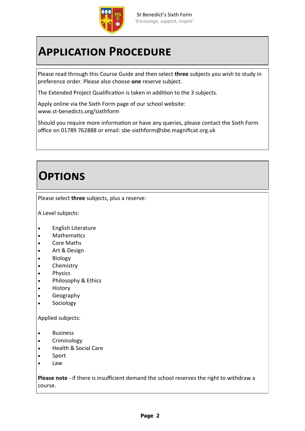

# **Application Procedure**

Please read through this Course Guide and then select **three** subjects you wish to study in preference order. Please also choose **one** reserve subject.

The Extended Project Qualification is taken in addition to the 3 subjects.

Apply online via the Sixth Form page of our school website: www.st-benedicts.org/sixthform

Should you require more information or have any queries, please contact the Sixth Form office on 01789 762888 or email: sbe-sixthform@sbe.magnificat.org.uk

# **Options**

Please select **three** subjects, plus a reserve:

A Level subjects:

- English Literature
- **Mathematics**
- Core Maths
- Art & Design
- **Biology**
- **Chemistry**
- **Physics**
- Philosophy & Ethics
- **History**
- Geography
- **Sociology**

Applied subjects:

- **Business**
- Criminology
- Health & Social Care
- **Sport**
- Law

**Please note** - if there is insufficient demand the school reserves the right to withdraw a course.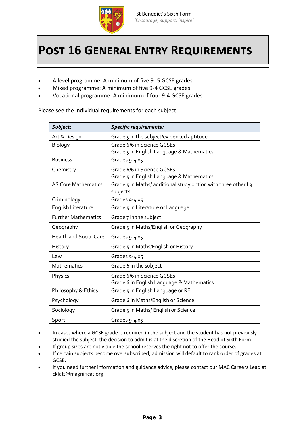

# **Post 16 General Entry Requirements**

- A level programme: A minimum of five 9 -5 GCSE grades
- Mixed programme: A minimum of five 9-4 GCSE grades
- Vocational programme: A minimum of four 9-4 GCSE grades

Please see the individual requirements for each subject:

| Subject:                      | <b>Specific requirements:</b>                                              |
|-------------------------------|----------------------------------------------------------------------------|
| Art & Design                  | Grade 5 in the subject/evidenced aptitude                                  |
| Biology                       | Grade 6/6 in Science GCSEs<br>Grade 5 in English Language & Mathematics    |
| <b>Business</b>               | Grades 9-4 x5                                                              |
| Chemistry                     | Grade 6/6 in Science GCSEs<br>Grade 5 in English Language & Mathematics    |
| <b>AS Core Mathematics</b>    | Grade 5 in Maths/ additional study option with three other L3<br>subjects. |
| Criminology                   | Grades 9-4 x5                                                              |
| English Literature            | Grade 5 in Literature or Language                                          |
| <b>Further Mathematics</b>    | Grade 7 in the subject                                                     |
| Geography                     | Grade 5 in Maths/English or Geography                                      |
| <b>Health and Social Care</b> | Grades 9-4 x5                                                              |
| History                       | Grade 5 in Maths/English or History                                        |
| Law                           | Grades 9-4 x5                                                              |
| <b>Mathematics</b>            | Grade 6 in the subject                                                     |
| Physics                       | Grade 6/6 in Science GCSEs<br>Grade 6 in English Language & Mathematics    |
| Philosophy & Ethics           | Grade 5 in English Language or RE                                          |
| Psychology                    | Grade 6 in Maths/English or Science                                        |
| Sociology                     | Grade 5 in Maths/ English or Science                                       |
| Sport                         | Grades 9-4 x5                                                              |

In cases where a GCSE grade is required in the subject and the student has not previously studied the subject, the decision to admit is at the discretion of the Head of Sixth Form.

- If group sizes are not viable the school reserves the right not to offer the course.
- If certain subjects become oversubscribed, admission will default to rank order of grades at GCSE.

• If you need further information and guidance advice, please contact our MAC Careers Lead at cklatt@magnificat.org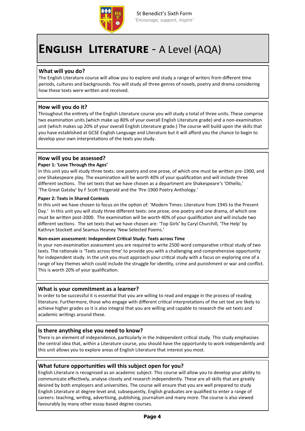

# **English Literature** - A Level (AQA)

#### **What will you do?**

The English Literature course will allow you to explore and study a range of writers from different time periods, cultures and backgrounds. You will study all three genres of novels, poetry and drama considering how these texts were written and received.

#### **How will you do it?**

Throughout the entirety of the English Literature course you will study a total of three units. These comprise two examination units (which make up 80% of your overall English Literature grade) and a non-examination unit (which makes up 20% of your overall English Literature grade.) The course will build upon the skills that you have established at GCSE English Language and Literature but it will afford you the chance to begin to develop your own interpretations of the texts you study.

#### **How will you be assessed?**

#### **Paper 1: 'Love Through the Ages'**

In this unit you will study three texts: one poetry and one prose, of which one must be written pre-1900, and one Shakespeare play. The examination will be worth 40% of your qualification and will include three different sections. The set texts that we have chosen as a department are Shakespeare's 'Othello,' 'The Great Gatsby' by F Scott Fitzgerald and the 'Pre-1900 Poetry Anthology.'

#### **Paper 2: Texts in Shared Contexts**

In this unit we have chosen to focus on the option of: 'Modern Times: Literature from 1945 to the Present Day.' In this unit you will study three different texts: one prose, one poetry and one drama, of which one must be written post-2000. The examination will be worth 40% of your qualification and will include two different sections. The set texts that we have chosen are: 'Top Girls' by Caryl Churchill, 'The Help' by Kathryn Stockett and Seamus Heaney 'New Selected Poems.'

#### **Non-exam assessment: Independent Critical Study: Texts across Time**

In your non-examination assessment you are required to write 2500 word comparative critical study of two texts. The rationale is 'Texts across time' to provide you with a challenging and comprehensive opportunity for independent study. In the unit you must approach your critical study with a focus on exploring one of a range of key themes which could include the struggle for identity, crime and punishment or war and conflict. This is worth 20% of your qualification.

#### **What is your commitment as a learner?**

In order to be successful it is essential that you are willing to read and engage in the process of reading literature. Furthermore, those who engage with different critical interpretations of the set text are likely to achieve higher grades so it is also integral that you are willing and capable to research the set texts and academic writings around these.

#### **Is there anything else you need to know?**

There is an element of independence, particularly in the Independent critical study. This study emphasises the central idea that, within a Literature course, you should have the opportunity to work independently and this unit allows you to explore areas of English Literature that interest you most.

#### **What future opportunities will this subject open for you?**

English Literature is recognised as an academic subject. This course will allow you to develop your ability to communicate effectively, analyse closely and research independently. These are all skills that are greatly desired by both employers and universities. The course will ensure that you are well prepared to study English Literature at degree level and, subsequently, English graduates are qualified to enter a range of careers: teaching, writing, advertising, publishing, journalism and many more. The course is also viewed favourably by many other essay-based degree courses.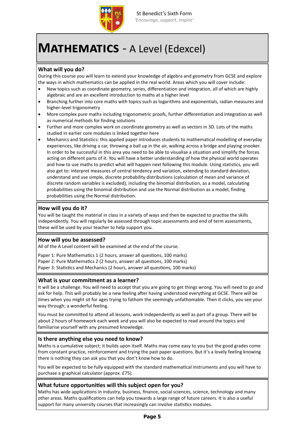

# **Mathematics** - A Level (Edexcel)

#### **What will you do?**

During this course you will learn to extend your knowledge of algebra and geometry from GCSE and explore the ways in which mathematics can be applied in the real world. Areas which you will cover include:

- New topics such as coordinate geometry, series, differentiation and integration, all of which are highly algebraic and are an excellent introduction to maths at a higher level
- Branching further into core maths with topics such as logarithms and exponentials, radian measures and higher-level trigonometry
- More complex pure maths including trigonometric proofs, further differentiation and integration as well as numerical methods for finding solutions
- Further and more complex work on coordinate geometry as well as vectors in 3D. Lots of the maths studied in earlier core modules is linked together here
- Mechanics and Statistics: this applied paper introduces students to mathematical modelling of everyday experiences, like driving a car, throwing a ball up in the air, walking across a bridge and playing snooker. In order to be successful in this area you need to be able to visualise a situation and simplify the forces acting on different parts of it. You will have a better understanding of how the physical world operates and how to use maths to predict what will happen next following this module. Using statistics, you will also get to: interpret measures of central tendency and variation, extending to standard deviation, understand and use simple, discrete probability distributions (calculation of mean and variance of discrete random variables is excluded), including the binomial distribution, as a model, calculating probabilities using the binomial distribution and use the Normal distribution as a model, finding probabilities using the Normal distribution.

#### **How will you do it?**

You will be taught the material in class in a variety of ways and then be expected to practise the skills independently. You will regularly be assessed through topic assessments and end of term assessments, these will be used by your teacher to help support you.

#### **How will you be assessed?**

All of the A Level content will be examined at the end of the course.

Paper 1: Pure Mathematics 1 (2 hours, answer all questions, 100 marks) Paper 2: Pure Mathematics 2 (2 hours, answer all questions, 100 marks)

Paper 3: Statistics and Mechanics (2 hours, answer all questions, 100 marks)

#### **What is your commitment as a learner?**

It will be a challenge. You will need to accept that you are going to get things wrong. You will need to go and ask for help. This will probably be a new feeling after having understood everything at GCSE. There will be times when you might sit for ages trying to fathom the seemingly unfathomable. Then it clicks, you see your way through; a wonderful feeling.

You must be committed to attend all lessons, work independently as well as part of a group. There will be about 2 hours of homework each week and you will also be expected to read around the topics and familiarise yourself with any presumed knowledge.

#### **Is there anything else you need to know?**

Maths is a cumulative subject; it builds upon itself. Maths may come easy to you but the good grades come from constant practice, reinforcement and trying the past paper questions. But it's a lovely feeling knowing there is nothing they can ask you that you don't know how to do.

You will be expected to be fully equipped with the standard mathematical instruments and you will have to purchase a graphical calculator (approx. £75).

#### **What future opportunities will this subject open for you?**

Maths has wide applications in industry, business, finance, social sciences, science, technology and many other areas. Maths qualifications can help you towards a large range of future careers. It is also a useful support for many university courses that increasingly can involve statistics modules.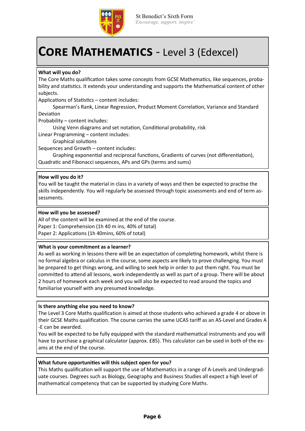

# **CORE MATHEMATICS** - Level 3 (Edexcel)

#### **What will you do?**

The Core Maths qualification takes some concepts from GCSE Mathematics, like sequences, probability and statistics. It extends your understanding and supports the Mathematical content of other subjects.

Applications of Statistics – content includes:

Spearman's Rank, Linear Regression, Product Moment Correlation, Variance and Standard Deviation

Probability – content includes:

Using Venn diagrams and set notation, Conditional probability, risk

Linear Programming – content includes:

Graphical solutions

Sequences and Growth – content includes:

Graphing exponential and reciprocal functions, Gradients of curves (not differentiation), Quadratic and Fibonacci sequences, APs and GPs (terms and sums)

#### **How will you do it?**

You will be taught the material in class in a variety of ways and then be expected to practise the skills independently. You will regularly be assessed through topic assessments and end of term assessments.

#### **How will you be assessed?**

All of the content will be examined at the end of the course. Paper 1: Comprehension (1h 40 m ins, 40% of total) Paper 2: Applications (1h 40mins, 60% of total)

#### **What is your commitment as a learner?**

As well as working in lessons there will be an expectation of completing homework, whilst there is no formal algebra or calculus in the course, some aspects are likely to prove challenging. You must be prepared to get things wrong, and willing to seek help in order to put them right. You must be committed to attend all lessons, work independently as well as part of a group. There will be about 2 hours of homework each week and you will also be expected to read around the topics and familiarise yourself with any presumed knowledge.

#### **Is there anything else you need to know?**

The Level 3 Core Maths qualification is aimed at those students who achieved a grade 4 or above in their GCSE Maths qualification. The course carries the same UCAS tariff as an AS-Level and Grades A -E can be awarded.

You will be expected to be fully equipped with the standard mathematical instruments and you will have to purchase a graphical calculator (approx. £85). This calculator can be used in both of the exams at the end of the course.

#### **What future opportunities will this subject open for you?**

This Maths qualification will support the use of Mathematics in a range of A-Levels and Undergraduate courses. Degrees such as Biology, Geography and Business Studies all expect a high level of mathematical competency that can be supported by studying Core Maths.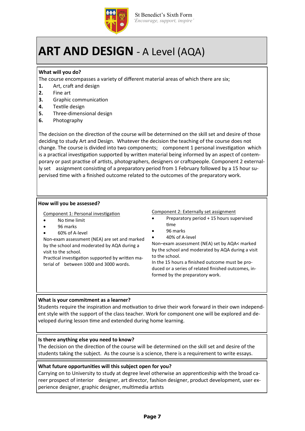

# **ART AND DESIGN** - A Level (AQA)

#### **What will you do?**

The course encompasses a variety of different material areas of which there are six;

- **1.** Art, craft and design
- **2.** Fine art
- **3.** Graphic communication
- **4.** Textile design
- **5.** Three-dimensional design
- **6.** Photography

The decision on the direction of the course will be determined on the skill set and desire of those deciding to study Art and Design. Whatever the decision the teaching of the course does not change. The course is divided into two components; component 1 personal investigation which is a practical investigation supported by written material being informed by an aspect of contemporary or past practise of artists, photographers, designers or craftspeople. Component 2 externally set assignment consisting of a preparatory period from 1 February followed by a 15 hour supervised time with a finished outcome related to the outcomes of the preparatory work.

#### **How will you be assessed?**

Component 1: Personal investigation

- No time limit
- 96 marks
- 60% of A-level

Non-exam assessment (NEA) are set and marked by the school and moderated by AQA during a visit to the school.

Practical investigation supported by written material of between 1000 and 3000 words.

#### Component 2: Externally set assignment

- Preparatory period + 15 hours supervised time
- 96 marks
- 40% of A-level

Non–exam assessment (NEA) set by AQA< marked by the school and moderated by AQA during a visit to the school.

In the 15 hours a finished outcome must be produced or a series of related finished outcomes, informed by the preparatory work.

#### **What is your commitment as a learner?**

Students require the inspiration and motivation to drive their work forward in their own independent style with the support of the class teacher. Work for component one will be explored and developed during lesson time and extended during home learning.

#### **Is there anything else you need to know?**

The decision on the direction of the course will be determined on the skill set and desire of the students taking the subject. As the course is a science, there is a requirement to write essays.

#### **What future opportunities will this subject open for you?**

Carrying on to University to study at degree level otherwise an apprenticeship with the broad career prospect of interior designer, art director, fashion designer, product development, user experience designer, graphic designer, multimedia artists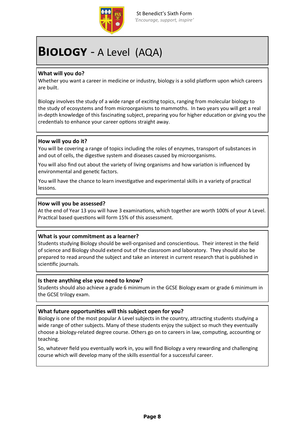

# **Biology** - A Level (AQA)

#### **What will you do?**

Whether you want a career in medicine or industry, biology is a solid platform upon which careers are built.

Biology involves the study of a wide range of exciting topics, ranging from molecular biology to the study of ecosystems and from microorganisms to mammoths. In two years you will get a real in-depth knowledge of this fascinating subject, preparing you for higher education or giving you the credentials to enhance your career options straight away.

#### **How will you do it?**

You will be covering a range of topics including the roles of enzymes, transport of substances in and out of cells, the digestive system and diseases caused by microorganisms.

You will also find out about the variety of living organisms and how variation is influenced by environmental and genetic factors.

You will have the chance to learn investigative and experimental skills in a variety of practical lessons.

#### **How will you be assessed?**

At the end of Year 13 you will have 3 examinations, which together are worth 100% of your A Level. Practical based questions will form 15% of this assessment.

#### **What is your commitment as a learner?**

Students studying Biology should be well-organised and conscientious. Their interest in the field of science and Biology should extend out of the classroom and laboratory. They should also be prepared to read around the subject and take an interest in current research that is published in scientific journals.

#### **Is there anything else you need to know?**

Students should also achieve a grade 6 minimum in the GCSE Biology exam or grade 6 minimum in the GCSE trilogy exam.

#### **What future opportunities will this subject open for you?**

Biology is one of the most popular A Level subjects in the country, attracting students studying a wide range of other subjects. Many of these students enjoy the subject so much they eventually choose a biology-related degree course. Others go on to careers in law, computing, accounting or teaching.

So, whatever field you eventually work in, you will find Biology a very rewarding and challenging course which will develop many of the skills essential for a successful career.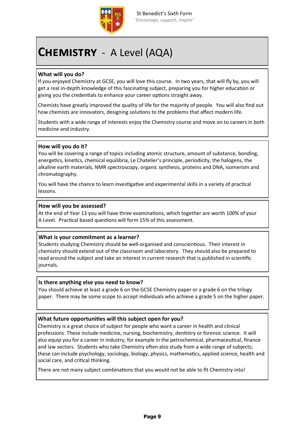

# **Chemistry** - A Level (AQA)

#### **What will you do?**

If you enjoyed Chemistry at GCSE, you will love this course. In two years, that will fly by, you will get a real in-depth knowledge of this fascinating subject, preparing you for higher education or giving you the credentials to enhance your career options straight away.

Chemists have greatly improved the quality of life for the majority of people. You will also find out how chemists are innovators, designing solutions to the problems that affect modern life.

Students with a wide range of interests enjoy the Chemistry course and move on to careers in both medicine and industry.

#### **How will you do it?**

You will be covering a range of topics including atomic structure, amount of substance, bonding, energetics, kinetics, chemical equilibria, Le Chatelier's principle, periodicity, the halogens, the alkaline earth materials, NMR spectroscopy, organic synthesis, proteins and DNA, isomerism and chromatography.

You will have the chance to learn investigative and experimental skills in a variety of practical lessons.

#### **How will you be assessed?**

At the end of Year 13 you will have three examinations, which together are worth 100% of your A Level. Practical based questions will form 15% of this assessment.

#### **What is your commitment as a learner?**

Students studying Chemistry should be well-organised and conscientious. Their interest in chemistry should extend out of the classroom and laboratory. They should also be prepared to read around the subject and take an interest in current research that is published in scientific journals.

#### **Is there anything else you need to know?**

You should achieve at least a grade 6 on the GCSE Chemistry paper or a grade 6 on the trilogy paper. There may be some scope to accept individuals who achieve a grade 5 on the higher paper.

#### **What future opportunities will this subject open for you?**

Chemistry is a great choice of subject for people who want a career in health and clinical professions. These include medicine, nursing, biochemistry, dentistry or forensic science. It will also equip you for a career in industry, for example in the petrochemical, pharmaceutical, finance and law sectors. Students who take Chemistry often also study from a wide range of subjects; these can include psychology, sociology, biology, physics, mathematics, applied science, health and social care, and critical thinking.

There are not many subject combinations that you would not be able to fit Chemistry into!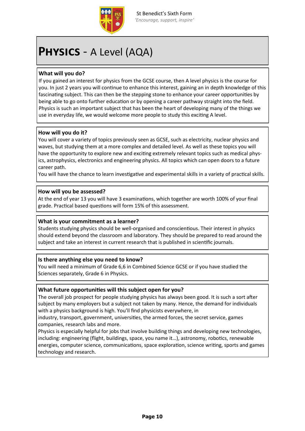

St Benedict's Sixth Form *'Encourage, support, inspire'*

### **Physics** - A Level (AQA)

#### **What will you do?**

If you gained an interest for physics from the GCSE course, then A level physics is the course for you. In just 2 years you will continue to enhance this interest, gaining an in depth knowledge of this fascinating subject. This can then be the stepping stone to enhance your career opportunities by being able to go onto further education or by opening a career pathway straight into the field. Physics is such an important subject that has been the heart of developing many of the things we use in everyday life, we would welcome more people to study this exciting A level.

#### **How will you do it?**

You will cover a variety of topics previously seen as GCSE, such as electricity, nuclear physics and waves, but studying them at a more complex and detailed level. As well as these topics you will have the opportunity to explore new and exciting extremely relevant topics such as medical physics, astrophysics, electronics and engineering physics. All topics which can open doors to a future career path.

You will have the chance to learn investigative and experimental skills in a variety of practical skills.

#### **How will you be assessed?**

At the end of year 13 you will have 3 examinations, which together are worth 100% of your final grade. Practical based questions will form 15% of this assessment.

#### **What is your commitment as a learner?**

Students studying physics should be well-organised and conscientious. Their interest in physics should extend beyond the classroom and laboratory. They should be prepared to read around the subject and take an interest in current research that is published in scientific journals.

#### **Is there anything else you need to know?**

You will need a minimum of Grade 6,6 in Combined Science GCSE or if you have studied the Sciences separately, Grade 6 in Physics.

#### **What future opportunities will this subject open for you?**

The overall job prospect for people studying physics has always been good. It is such a sort after subject by many employers but a subject not taken by many. Hence, the demand for individuals with a physics background is high. You'll find physicists everywhere, in

industry, [transport,](https://successatschool.org/careerzonesummary/31/Transport-Logistics) [government,](https://successatschool.org/careerzonesummary/36/Public-Sector-Government) universities, the [armed forces,](https://successatschool.org/advicedetails/603/Army-jobs:-It%E2%80%99s-not-just-about-being-a-soldier) the secret service, games companies, [research](https://successatschool.org/careerzonesummary/34/Science-Research) labs and more.

Physics is especially helpful for jobs that involve building things and developing new technologies, including: engineering (flight, buildings, space, you name it…), astronomy, robotics, renewable energies, computer science, communications, space exploration, science writing, sports and games technology and research.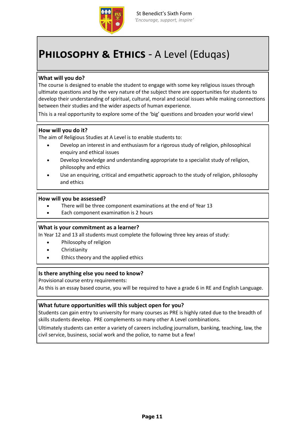

### **Philosophy & Ethics** - A Level (Eduqas)

#### **What will you do?**

The course is designed to enable the student to engage with some key religious issues through ultimate questions and by the very nature of the subject there are opportunities for students to develop their understanding of spiritual, cultural, moral and social issues while making connections between their studies and the wider aspects of human experience.

This is a real opportunity to explore some of the 'big' questions and broaden your world view!

#### **How will you do it?**

The aim of Religious Studies at A Level is to enable students to:

- Develop an interest in and enthusiasm for a rigorous study of religion, philosophical enquiry and ethical issues
- Develop knowledge and understanding appropriate to a specialist study of religion, philosophy and ethics
- Use an enquiring, critical and empathetic approach to the study of religion, philosophy and ethics

#### **How will you be assessed?**

- There will be three component examinations at the end of Year 13
- Each component examination is 2 hours

#### **What is your commitment as a learner?**

In Year 12 and 13 all students must complete the following three key areas of study:

- Philosophy of religion
- **Christianity**
- Ethics theory and the applied ethics

#### **Is there anything else you need to know?**

Provisional course entry requirements:

As this is an essay based course, you will be required to have a grade 6 in RE and English Language.

#### **What future opportunities will this subject open for you?**

Students can gain entry to university for many courses as PRE is highly rated due to the breadth of skills students develop. PRE complements so many other A Level combinations.

Ultimately students can enter a variety of careers including journalism, banking, teaching, law, the civil service, business, social work and the police, to name but a few!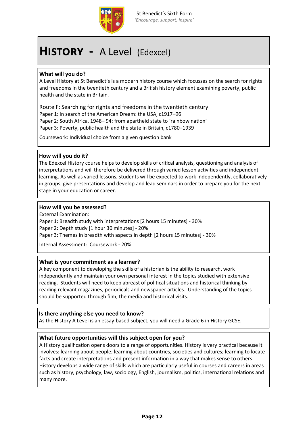

# **History -** A Level (Edexcel)

#### **What will you do?**

A Level History at St Benedict's is a modern history course which focusses on the search for rights and freedoms in the twentieth century and a British history element examining poverty, public health and the state in Britain.

Route F: Searching for rights and freedoms in the twentieth century Paper 1: In search of the American Dream: the USA, c1917–96 Paper 2: South Africa, 1948– 94: from apartheid state to 'rainbow nation' Paper 3: Poverty, public health and the state in Britain, c1780–1939

Coursework: Individual choice from a given question bank

#### **How will you do it?**

The Edexcel History course helps to develop skills of critical analysis, questioning and analysis of interpretations and will therefore be delivered through varied lesson activities and independent learning. As well as varied lessons, students will be expected to work independently, collaboratively in groups, give presentations and develop and lead seminars in order to prepare you for the next stage in your education or career.

#### **How will you be assessed?**

External Examination: Paper 1: Breadth study with interpretations [2 hours 15 minutes] - 30% Paper 2: Depth study [1 hour 30 minutes] - 20% Paper 3: Themes in breadth with aspects in depth [2 hours 15 minutes] - 30% Internal Assessment: Coursework - 20%

#### **What is your commitment as a learner?**

A key component to developing the skills of a historian is the ability to research, work independently and maintain your own personal interest in the topics studied with extensive reading. Students will need to keep abreast of political situations and historical thinking by reading relevant magazines, periodicals and newspaper articles. Understanding of the topics should be supported through film, the media and historical visits.

#### **Is there anything else you need to know?**

As the History A Level is an essay-based subject, you will need a Grade 6 in History GCSE.

#### **What future opportunities will this subject open for you?**

A History qualification opens doors to a range of opportunities. History is very practical because it involves: learning about people; learning about countries, societies and cultures; learning to locate facts and create interpretations and present information in a way that makes sense to others. History develops a wide range of skills which are particularly useful in courses and careers in areas such as history, psychology, law, sociology, English, journalism, politics, international relations and many more.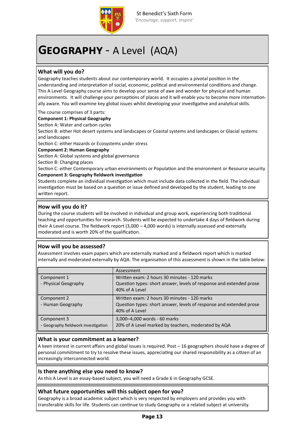

# **Geography** - A Level (AQA)

#### **What will you do?**

Geography teaches students about our contemporary world. It occupies a pivotal position in the understanding and interpretation of social, economic, political and environmental conditions and change. This A Level Geography course aims to develop your sense of awe and wonder for physical and human environments. It will challenge your perceptions of places and it will enable you to become more internationally aware. You will examine key global issues whilst developing your investigative and analytical skills.

The course comprises of 3 parts:

#### **Component 1: Physical Geography**

Section A: Water and carbon cycles

Section B: either Hot desert systems and landscapes or Coastal systems and landscapes or Glacial systems and landscapes

Section C: either Hazards or Ecosystems under stress

**Component 2: Human Geography**

Section A: Global systems and global governance

Section B: Changing places

Section C: either Contemporary urban environments or Population and the environment or Resource security **Component 3: Geography fieldwork investigation**

Students complete an individual investigation which must include data collected in the field. The individual investigation must be based on a question or issue defined and developed by the student, leading to one written report.

#### **How will you do it?**

During the course students will be involved in individual and group work, experiencing both traditional teaching and opportunities for research. Students will be expected to undertake 4 days of fieldwork during their A Level course. The fieldwork report (3,000 – 4,000 words) is internally assessed and externally moderated and is worth 20% of the qualification.

#### **How will you be assessed?**

Assessment involves exam papers which are externally marked and a fieldwork report which is marked internally and moderated externally by AQA. The organisation of this assessment is shown in the table below:

|                                                    | Assessment                                                                                                                            |
|----------------------------------------------------|---------------------------------------------------------------------------------------------------------------------------------------|
| Component 1<br>- Physical Geography                | Written exam: 2 hours 30 minutes - 120 marks<br>Question types: short answer, levels of response and extended prose<br>40% of A Level |
| Component 2<br>- Human Geography                   | Written exam: 2 hours 30 minutes - 120 marks<br>Question types: short answer, levels of response and extended prose<br>40% of A Level |
| Component 3<br>- Geography fieldwork investigation | 3,000-4,000 words - 60 marks<br>20% of A Level marked by teachers, moderated by AQA                                                   |

#### **What is your commitment as a learner?**

A keen interest in current affairs and global issues is required. Post – 16 geographers should have a degree of personal commitment to try to resolve these issues, appreciating our shared responsibility as a citizen of an increasingly interconnected world.

#### **Is there anything else you need to know?**

As this A Level is an essay-based subject, you will need a Grade 6 in Geography GCSE.

#### **What future opportunities will this subject open for you?**

Geography is a broad academic subject which is very respected by employers and provides you with transferable skills for life. Students can continue to study Geography or a related subject at university.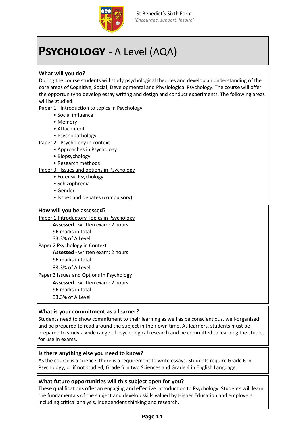

# **Psychology** - A Level (AQA)

#### **What will you do?**

During the course students will study psychological theories and develop an understanding of the core areas of Cognitive, Social, Developmental and Physiological Psychology. The course will offer the opportunity to develop essay writing and design and conduct experiments. The following areas will be studied:

Paper 1: Introduction to topics in Psychology

- Social influence
- Memory
- Attachment
- Psychopathology
- Paper 2: Psychology in context
	- Approaches in Psychology
		- Biopsychology
		- Research methods
- Paper 3: Issues and options in Psychology
	- Forensic Psychology
	- Schizophrenia
	- Gender
	- Issues and debates (compulsory).

#### **How will you be assessed?**

Paper 1 Introductory Topics in Psychology **Assessed** - written exam: 2 hours

- 96 marks in total 33.3% of A Level
- Paper 2 Psychology in Context

**Assessed** - written exam: 2 hours

96 marks in total

33.3% of A Level

Paper 3 Issues and Options in Psychology

**Assessed** - written exam: 2 hours 96 marks in total

33.3% of A Level

**What is your commitment as a learner?**

Students need to show commitment to their learning as well as be conscientious, well-organised and be prepared to read around the subject in their own time. As learners, students must be prepared to study a wide range of psychological research and be committed to learning the studies for use in exams.

#### **Is there anything else you need to know?**

As the course is a science, there is a requirement to write essays. Students require Grade 6 in Psychology, or if not studied, Grade 5 in two Sciences and Grade 4 in English Language.

#### **What future opportunities will this subject open for you?**

These qualifications offer an engaging and effective introduction to Psychology. Students will learn the fundamentals of the subject and develop skills valued by Higher Education and employers, including critical analysis, independent thinking and research.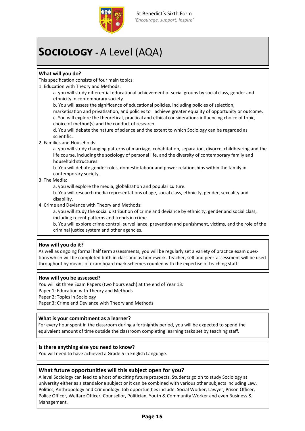

# **Sociology -** A Level (AQA)

#### **What will you do?**

This specification consists of four main topics:

1. Education with Theory and Methods:

a. you will study differential educational achievement of social groups by social class, gender and ethnicity in contemporary society.

b. You will assess the significance of educational policies, including policies of selection,

marketisation and privatisation, and policies to achieve greater equality of opportunity or outcome. c. You will explore the theoretical, practical and ethical considerations influencing choice of topic, choice of method(s) and the conduct of research.

d. You will debate the nature of science and the extent to which Sociology can be regarded as scientific.

2. Families and Households:

a. you will study changing patterns of marriage, cohabitation, separation, divorce, childbearing and the life course, including the sociology of personal life, and the diversity of contemporary family and household structures.

b. You will debate gender roles, domestic labour and power relationships within the family in contemporary society.

3. The Media:

a. you will explore the media, globalisation and popular culture.

b. You will research media representations of age, social class, ethnicity, gender, sexuality and disability.

#### 4. Crime and Deviance with Theory and Methods:

a. you will study the social distribution of crime and deviance by ethnicity, gender and social class, including recent patterns and trends in crime.

b. You will explore crime control, surveillance, prevention and punishment, victims, and the role of the criminal justice system and other agencies.

#### **How will you do it?**

As well as ongoing formal half term assessments, you will be regularly set a variety of practice exam questions which will be completed both in class and as homework. Teacher, self and peer-assessment will be used throughout by means of exam board mark schemes coupled with the expertise of teaching staff.

#### **How will you be assessed?**

You will sit three Exam Papers (two hours each) at the end of Year 13:

- Paper 1: Education with Theory and Methods
- Paper 2: Topics in Sociology

Paper 3: Crime and Deviance with Theory and Methods

#### **What is your commitment as a learner?**

For every hour spent in the classroom during a fortnightly period, you will be expected to spend the equivalent amount of time outside the classroom completing learning tasks set by teaching staff.

#### **Is there anything else you need to know?**

You will need to have achieved a Grade 5 in English Language.

#### **What future opportunities will this subject open for you?**

A level Sociology can lead to a host of exciting future prospects. Students go on to study Sociology at university either as a standalone subject or it can be combined with various other subjects including Law, Politics, Anthropology and Criminology. Job opportunities include: Social Worker, Lawyer, Prison Officer, Police Officer, Welfare Officer, Counsellor, Politician, Youth & Community Worker and even Business & Management.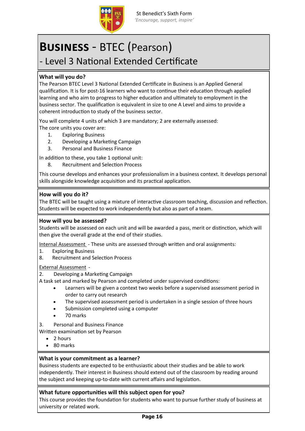

# **Business** - BTEC (Pearson) - Level 3 National Extended Certificate

#### **What will you do?**

The Pearson BTEC Level 3 National Extended Certificate in Business is an Applied General qualification. It is for post-16 learners who want to continue their education through applied learning and who aim to progress to higher education and ultimately to employment in the business sector. The qualification is equivalent in size to one A Level and aims to provide a coherent introduction to study of the business sector.

You will complete 4 units of which 3 are mandatory; 2 are externally assessed: The core units you cover are:

- 1. Exploring Business
- 2. Developing a Marketing Campaign
- 3. Personal and Business Finance

In addition to these, you take 1 optional unit:

8. Recruitment and Selection Process

This course develops and enhances your professionalism in a business context. It develops personal skills alongside knowledge acquisition and its practical application.

#### **How will you do it?**

The BTEC will be taught using a mixture of interactive classroom teaching, discussion and reflection. Students will be expected to work independently but also as part of a team.

#### **How will you be assessed?**

Students will be assessed on each unit and will be awarded a pass, merit or distinction, which will then give the overall grade at the end of their studies.

Internal Assessment - These units are assessed through written and oral assignments:

- 1. Exploring Business
- 8. Recruitment and Selection Process

#### External Assessment -

2. Developing a Marketing Campaign

A task set and marked by Pearson and completed under supervised conditions:

- Learners will be given a context two weeks before a supervised assessment period in order to carry out research
- The supervised assessment period is undertaken in a single session of three hours
- Submission completed using a computer
- 70 marks

#### 3. Personal and Business Finance

Written examination set by Pearson

- 2 hours
- 80 marks

#### **What is your commitment as a learner?**

Business students are expected to be enthusiastic about their studies and be able to work independently. Their interest in Business should extend out of the classroom by reading around the subject and keeping up-to-date with current affairs and legislation.

#### **What future opportunities will this subject open for you?**

This course provides the foundation for students who want to pursue further study of business at university or related work.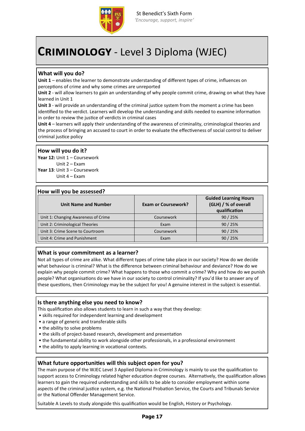

# **Criminology** - Level 3 Diploma (WJEC)

#### **What will you do?**

**Unit 1** – enables the learner to demonstrate understanding of different types of crime, influences on perceptions of crime and why some crimes are unreported

**Unit 2** - will allow learners to gain an understanding of why people commit crime, drawing on what they have learned in Unit 1

**Unit 3** - will provide an understanding of the criminal justice system from the moment a crime has been identified to the verdict. Learners will develop the understanding and skills needed to examine information in order to review the justice of verdicts in criminal cases

**Unit 4** – learners will apply their understanding of the awareness of criminality, criminological theories and the process of bringing an accused to court in order to evaluate the effectiveness of social control to deliver criminal justice policy

#### **How will you do it?**

Year 12: Unit 1 – Coursework Unit 2 – Exam **Year 13**: Unit 3 – Coursework Unit 4 – Exam

#### **How will you be assessed?**

| <b>Unit Name and Number</b>         | <b>Exam or Coursework?</b> | <b>Guided Learning Hours</b><br>(GLH) / % of overall<br>qualification |
|-------------------------------------|----------------------------|-----------------------------------------------------------------------|
| Unit 1: Changing Awareness of Crime | Coursework                 | 90/25%                                                                |
| Unit 2: Criminological Theories     | Exam                       | 90/25%                                                                |
| Unit 3: Crime Scene to Courtroom    | Coursework                 | 90 / 25%                                                              |
| Unit 4: Crime and Punishment        | Exam                       | 90/25%                                                                |

#### **What is your commitment as a learner?**

Not all types of crime are alike. What different types of crime take place in our society? How do we decide what behaviour is criminal? What is the difference between criminal behaviour and deviance? How do we explain why people commit crime? What happens to those who commit a crime? Why and how do we punish people? What organisations do we have in our society to control criminality? If you'd like to answer any of these questions, then Criminology may be the subject for you! A genuine interest in the subject is essential.

#### **Is there anything else you need to know?**

This qualification also allows students to learn in such a way that they develop:

- skills required for independent learning and development
- a range of generic and transferable skills
- the ability to solve problems
- the skills of project-based research, development and presentation
- the fundamental ability to work alongside other professionals, in a professional environment
- the ability to apply learning in vocational contexts.

#### **What future opportunities will this subject open for you?**

The main purpose of the WJEC Level 3 Applied Diploma in Criminology is mainly to use the qualification to support access to Criminology related higher education degree courses. Alternatively, the qualification allows learners to gain the required understanding and skills to be able to consider employment within some aspects of the criminal justice system, e.g. the National Probation Service, the Courts and Tribunals Service or the National Offender Management Service.

Suitable A Levels to study alongside this qualification would be English, History or Psychology.

#### **Page 17**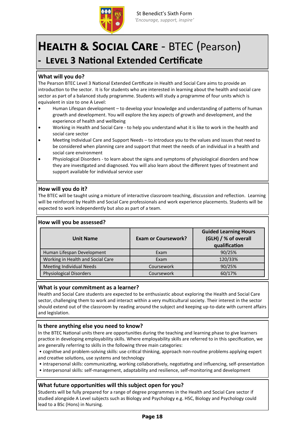

# **Health & Social Care** - BTEC (Pearson) **- Level 3 National Extended Certificate**

#### **What will you do?**

The Pearson BTEC Level 3 National Extended Certificate in Health and Social Care aims to provide an introduction to the sector. It is for students who are interested in learning about the health and social care sector as part of a balanced study programme. Students will study a programme of four units which is equivalent in size to one A Level:

- Human Lifespan development to develop your knowledge and understanding of patterns of human growth and development. You will explore the key aspects of growth and development, and the experience of health and wellbeing
- Working in Health and Social Care to help you understand what it is like to work in the health and social care sector
- Meeting Individual Care and Support Needs to introduce you to the values and issues that need to be considered when planning care and support that meet the needs of an individual in a health and social care environment
- Physiological Disorders to learn about the signs and symptoms of physiological disorders and how they are investigated and diagnosed. You will also learn about the different types of treatment and support available for individual service user

#### **How will you do it?**

The BTEC will be taught using a mixture of interactive classroom teaching, discussion and reflection. Learning will be reinforced by Health and Social Care professionals and work experience placements. Students will be expected to work independently but also as part of a team.

#### **How will you be assessed?**

| <b>Unit Name</b>                  | <b>Exam or Coursework?</b> | <b>Guided Learning Hours</b><br>(GLH) / % of overall<br>qualification |
|-----------------------------------|----------------------------|-----------------------------------------------------------------------|
| Human Lifespan Development        | Exam                       | 90/25%                                                                |
| Working in Health and Social Care | Exam                       | 120/33%                                                               |
| <b>Meeting Individual Needs</b>   | Coursework                 | 90/25%                                                                |
| <b>Physiological Disorders</b>    | Coursework                 | 60/17%                                                                |

#### **What is your commitment as a learner?**

Health and Social Care students are expected to be enthusiastic about exploring the Health and Social Care sector, challenging them to work and interact within a very multicultural society. Their interest in the sector should extend out of the classroom by reading around the subject and keeping up-to-date with current affairs and legislation.

#### **Is there anything else you need to know?**

In the BTEC National units there are opportunities during the teaching and learning phase to give learners practice in developing employability skills. Where employability skills are referred to in this specification, we are generally referring to skills in the following three main categories:

• cognitive and problem-solving skills: use critical thinking, approach non-routine problems applying expert and creative solutions, use systems and technology

• intrapersonal skills: communicating, working collaboratively, negotiating and influencing, self-presentation

• interpersonal skills: self-management, adaptability and resilience, self-monitoring and development

#### **What future opportunities will this subject open for you?**

Students will be fully prepared for a range of degree programmes in the Health and Social Care sector if studied alongside A Level subjects such as Biology and Psychology e.g. HSC, Biology and Psychology could lead to a BSc (Hons) in Nursing.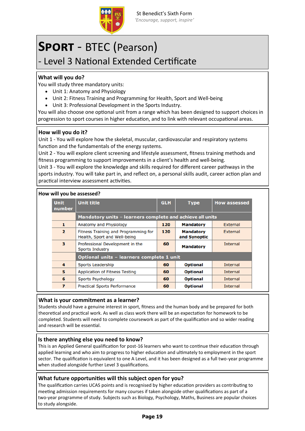

St Benedict's Sixth Form *'Encourage, support, inspire'*

### **Sport** - BTEC (Pearson) - Level 3 National Extended Certificate

#### **What will you do?**

You will study three mandatory units:

- Unit 1: Anatomy and Physiology
- Unit 2: Fitness Training and Programming for Health, Sport and Well-being
- Unit 3: Professional Development in the Sports Industry.

You will also choose one optional unit from a range which has been designed to support choices in progression to sport courses in higher education, and to link with relevant occupational areas.

#### **How will you do it?**

Unit 1 - You will explore how the skeletal, muscular, cardiovascular and respiratory systems function and the fundamentals of the energy systems.

Unit 2 - You will explore client screening and lifestyle assessment, fitness training methods and fitness programming to support improvements in a client's health and well-being.

Unit 3 - You will explore the knowledge and skills required for different career pathways in the sports industry. You will take part in, and reflect on, a personal skills audit, career action plan and practical interview assessment activities.

| <b>Unit</b><br>number | <b>Unit title</b>                                                    | <b>GLH</b> | <b>Type</b>                      | <b>How assessed</b> |
|-----------------------|----------------------------------------------------------------------|------------|----------------------------------|---------------------|
|                       | Mandatory units - learners complete and achieve all units            |            |                                  |                     |
| 1                     | Anatomy and Physiology                                               | 120        | <b>Mandatory</b>                 | External            |
| $\overline{2}$        | Fitness Training and Programming for<br>Health, Sport and Well-being | 120        | <b>Mandatory</b><br>and Synoptic | <b>External</b>     |
| 3                     | Professional Development in the<br><b>Sports Industry</b>            | 60         | <b>Mandatory</b>                 | <b>Internal</b>     |
|                       | Optional units - learners complete 1 unit                            |            |                                  |                     |
| 4                     | <b>Sports Leadership</b>                                             | 60         | <b>Optional</b>                  | <b>Internal</b>     |
| 5                     | <b>Application of Fitness Testing</b>                                | 60         | <b>Optional</b>                  | <b>Internal</b>     |
| 6                     | <b>Sports Psychology</b>                                             | 60         | <b>Optional</b>                  | <b>Internal</b>     |
| $\overline{ }$        | <b>Practical Sports Performance</b>                                  | 60         | <b>Optional</b>                  | <b>Internal</b>     |

#### **What is your commitment as a learner?**

Students should have a genuine interest in sport, fitness and the human body and be prepared for both theoretical and practical work. As well as class work there will be an expectation for homework to be completed. Students will need to complete coursework as part of the qualification and so wider reading and research will be essential.

#### **Is there anything else you need to know?**

This is an Applied General qualification for post-16 learners who want to continue their education through applied learning and who aim to progress to higher education and ultimately to employment in the sport sector. The qualification is equivalent to one A Level, and it has been designed as a full two-year programme when studied alongside further Level 3 qualifications.

#### **What future opportunities will this subject open for you?**

The qualification carries UCAS points and is recognised by higher education providers as contributing to meeting admission requirements for many courses if taken alongside other qualifications as part of a two-year programme of study. Subjects such as Biology, Psychology, Maths, Business are popular choices to study alongside.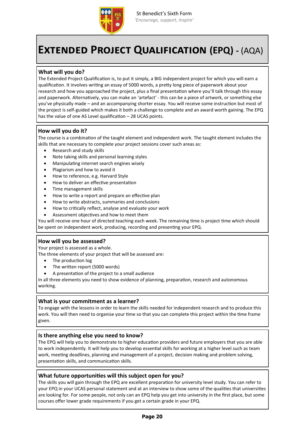

## **Extended Project Qualification (EPQ) -** (AQA)

#### **What will you do?**

The Extended Project Qualification is, to put it simply, a BIG independent project for which you will earn a qualification. It involves writing an essay of 5000 words, a pretty long piece of paperwork about your research and how you approached the project, plus a final presentation where you'll talk through this essay and paperwork. Alternatively, you can make an 'artefact' - this can be a piece of artwork, or something else you've physically made – and an accompanying shorter essay. You will receive some instruction but most of the project is self-guided which makes it both a challenge to complete and an award worth gaining. The EPQ has the value of one AS Level qualification - 28 UCAS points.

#### **How will you do it?**

The course is a combination of the taught element and independent work. The taught element includes the skills that are necessary to complete your project sessions cover such areas as:

- Research and study skills
- Note taking skills and personal learning styles
- Manipulating internet search engines wisely
- Plagiarism and how to avoid it
- How to reference, e.g. Harvard Style
- How to deliver an effective presentation
- Time management skills
- How to write a report and prepare an effective plan
- How to write abstracts, summaries and conclusions
- How to critically reflect, analyse and evaluate your work
- Assessment objectives and how to meet them

You will receive one hour of directed teaching each week. The remaining time is project time which should be spent on independent work, producing, recording and presenting your EPQ.

#### **How will you be assessed?**

Your project is assessed as a whole.

The three elements of your project that will be assessed are:

- The production log
- The written report (5000 words)
- A presentation of the project to a small audience

In all three elements you need to show evidence of planning, preparation, research and autonomous working.

#### **What is your commitment as a learner?**

To engage with the lessons in order to learn the skills needed for independent research and to produce this work. You will then need to organise your time so that you can complete this project within the time frame given.

#### **Is there anything else you need to know?**

The EPQ will help you to demonstrate to higher education providers and future employers that you are able to work independently. It will help you to develop essential skills for working at a higher level such as team work, meeting deadlines, planning and management of a project, decision making and problem solving, presentation skills, and communication skills.

#### **What future opportunities will this subject open for you?**

The skills you will gain through the EPQ are excellent preparation for university level study. You can refer to your EPQ in your UCAS personal statement and at an interview to show some of the qualities that universities are looking for. For some people, not only can an EPQ help you get into university in the first place, but some courses offer lower grade requirements if you get a certain grade in your EPQ.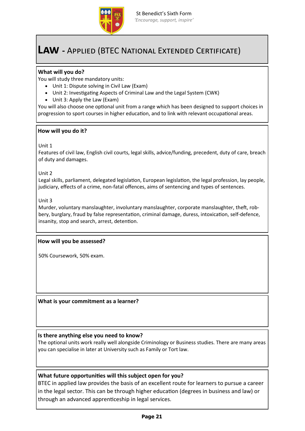

### **Law -** Applied (BTEC National Extended Certificate)

#### **What will you do?**

You will study three mandatory units:

- Unit 1: Dispute solving in Civil Law (Exam)
- Unit 2: Investigating Aspects of Criminal Law and the Legal System (CWK)
- Unit 3: Apply the Law (Exam)

You will also choose one optional unit from a range which has been designed to support choices in progression to sport courses in higher education, and to link with relevant occupational areas.

#### **How will you do it?**

#### Unit 1

Features of civil law, English civil courts, legal skills, advice/funding, precedent, duty of care, breach of duty and damages.

Unit 2

Legal skills, parliament, delegated legislation, European legislation, the legal profession, lay people, judiciary, effects of a crime, non-fatal offences, aims of sentencing and types of sentences.

Unit 3

Murder, voluntary manslaughter, involuntary manslaughter, corporate manslaughter, theft, robbery, burglary, fraud by false representation, criminal damage, duress, intoxication, self-defence, insanity, stop and search, arrest, detention.

#### **How will you be assessed?**

50% Coursework, 50% exam.

**What is your commitment as a learner?**

#### **Is there anything else you need to know?**

The optional units work really well alongside Criminology or Business studies. There are many areas you can specialise in later at University such as Family or Tort law.

#### **What future opportunities will this subject open for you?**

BTEC in applied law provides the basis of an excellent route for learners to pursue a career in the legal sector. This can be through higher education (degrees in business and law) or through an advanced apprenticeship in legal services.